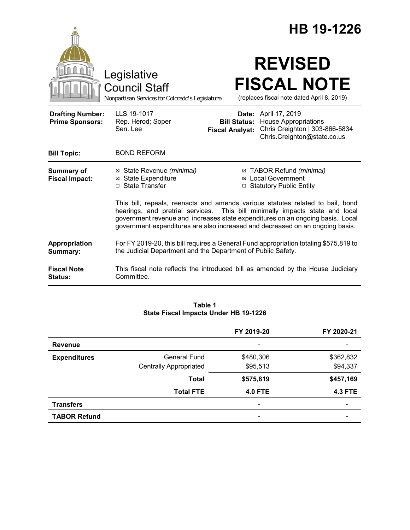|                                                   |                                                                                                                                                                                                                                                                                                                                   |                        | HB 19-1226                                                                                                                        |  |  |
|---------------------------------------------------|-----------------------------------------------------------------------------------------------------------------------------------------------------------------------------------------------------------------------------------------------------------------------------------------------------------------------------------|------------------------|-----------------------------------------------------------------------------------------------------------------------------------|--|--|
|                                                   | Legislative<br><b>Council Staff</b><br>Nonpartisan Services for Colorado's Legislature                                                                                                                                                                                                                                            |                        | <b>REVISED</b><br><b>FISCAL NOTE</b><br>(replaces fiscal note dated April 8, 2019)                                                |  |  |
| <b>Drafting Number:</b><br><b>Prime Sponsors:</b> | LLS 19-1017<br>Rep. Herod; Soper<br>Sen. Lee                                                                                                                                                                                                                                                                                      | <b>Fiscal Analyst:</b> | Date: April 17, 2019<br><b>Bill Status:</b> House Appropriations<br>Chris Creighton   303-866-5834<br>Chris.Creighton@state.co.us |  |  |
| <b>Bill Topic:</b>                                | <b>BOND REFORM</b>                                                                                                                                                                                                                                                                                                                |                        |                                                                                                                                   |  |  |
| <b>Summary of</b><br><b>Fiscal Impact:</b>        | ⊠ State Revenue (minimal)<br><b>⊠</b> State Expenditure<br>□ State Transfer                                                                                                                                                                                                                                                       | $\Box$                 | ⊠ TABOR Refund (minimal)<br>⊠ Local Government<br><b>Statutory Public Entity</b>                                                  |  |  |
|                                                   | This bill, repeals, reenacts and amends various statutes related to bail, bond<br>hearings, and pretrial services. This bill minimally impacts state and local<br>government revenue and increases state expenditures on an ongoing basis. Local<br>government expenditures are also increased and decreased on an ongoing basis. |                        |                                                                                                                                   |  |  |
| Appropriation<br>Summary:                         | For FY 2019-20, this bill requires a General Fund appropriation totaling \$575,819 to<br>the Judicial Department and the Department of Public Safety.                                                                                                                                                                             |                        |                                                                                                                                   |  |  |
| <b>Fiscal Note</b><br><b>Status:</b>              | This fiscal note reflects the introduced bill as amended by the House Judiciary<br>Committee.                                                                                                                                                                                                                                     |                        |                                                                                                                                   |  |  |

### **Table 1 State Fiscal Impacts Under HB 19-1226**

|                     |                               | FY 2019-20               | FY 2020-21     |
|---------------------|-------------------------------|--------------------------|----------------|
| <b>Revenue</b>      |                               | -                        |                |
| <b>Expenditures</b> | General Fund                  | \$480,306                | \$362,832      |
|                     | <b>Centrally Appropriated</b> | \$95,513                 | \$94,337       |
|                     | <b>Total</b>                  | \$575,819                | \$457,169      |
|                     | <b>Total FTE</b>              | <b>4.0 FTE</b>           | <b>4.3 FTE</b> |
| <b>Transfers</b>    |                               | $\overline{\phantom{a}}$ |                |
| <b>TABOR Refund</b> |                               | $\overline{\phantom{a}}$ |                |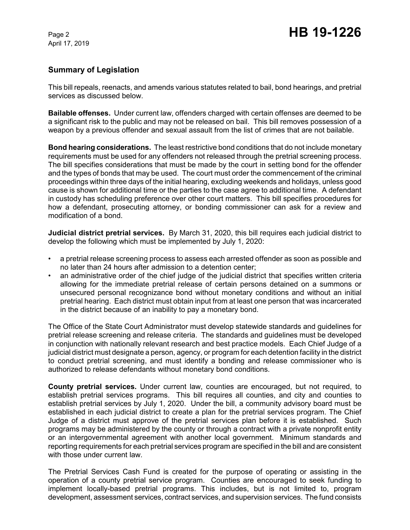# **Summary of Legislation**

This bill repeals, reenacts, and amends various statutes related to bail, bond hearings, and pretrial services as discussed below.

**Bailable offenses.** Under current law, offenders charged with certain offenses are deemed to be a significant risk to the public and may not be released on bail. This bill removes possession of a weapon by a previous offender and sexual assault from the list of crimes that are not bailable.

**Bond hearing considerations.** The least restrictive bond conditions that do not include monetary requirements must be used for any offenders not released through the pretrial screening process. The bill specifies considerations that must be made by the court in setting bond for the offender and the types of bonds that may be used. The court must order the commencement of the criminal proceedings within three days of the initial hearing, excluding weekends and holidays, unless good cause is shown for additional time or the parties to the case agree to additional time. A defendant in custody has scheduling preference over other court matters. This bill specifies procedures for how a defendant, prosecuting attorney, or bonding commissioner can ask for a review and modification of a bond.

**Judicial district pretrial services.** By March 31, 2020, this bill requires each judicial district to develop the following which must be implemented by July 1, 2020:

- a pretrial release screening process to assess each arrested offender as soon as possible and no later than 24 hours after admission to a detention center;
- an administrative order of the chief judge of the judicial district that specifies written criteria allowing for the immediate pretrial release of certain persons detained on a summons or unsecured personal recognizance bond without monetary conditions and without an initial pretrial hearing. Each district must obtain input from at least one person that was incarcerated in the district because of an inability to pay a monetary bond.

The Office of the State Court Administrator must develop statewide standards and guidelines for pretrial release screening and release criteria. The standards and guidelines must be developed in conjunction with nationally relevant research and best practice models. Each Chief Judge of a judicial district must designate a person, agency, or program for each detention facility in the district to conduct pretrial screening, and must identify a bonding and release commissioner who is authorized to release defendants without monetary bond conditions.

**County pretrial services.** Under current law, counties are encouraged, but not required, to establish pretrial services programs. This bill requires all counties, and city and counties to establish pretrial services by July 1, 2020. Under the bill, a community advisory board must be established in each judicial district to create a plan for the pretrial services program. The Chief Judge of a district must approve of the pretrial services plan before it is established. Such programs may be administered by the county or through a contract with a private nonprofit entity or an intergovernmental agreement with another local government. Minimum standards and reporting requirements for each pretrial services program are specified in the bill and are consistent with those under current law.

The Pretrial Services Cash Fund is created for the purpose of operating or assisting in the operation of a county pretrial service program. Counties are encouraged to seek funding to implement locally-based pretrial programs. This includes, but is not limited to, program development, assessment services, contract services, and supervision services. The fund consists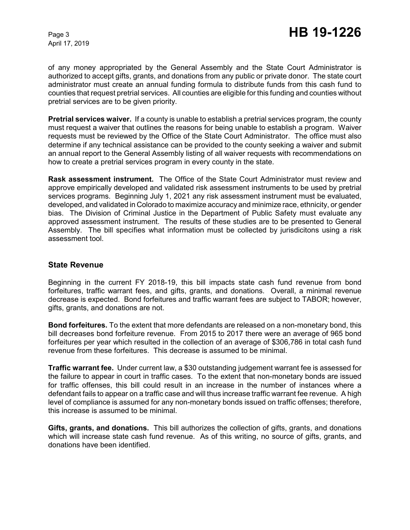of any money appropriated by the General Assembly and the State Court Administrator is authorized to accept gifts, grants, and donations from any public or private donor. The state court administrator must create an annual funding formula to distribute funds from this cash fund to counties that request pretrial services. All counties are eligible for this funding and counties without pretrial services are to be given priority.

**Pretrial services waiver.** If a county is unable to establish a pretrial services program, the county must request a waiver that outlines the reasons for being unable to establish a program. Waiver requests must be reviewed by the Office of the State Court Administrator. The office must also determine if any technical assistance can be provided to the county seeking a waiver and submit an annual report to the General Assembly listing of all waiver requests with recommendations on how to create a pretrial services program in every county in the state.

**Rask assessment instrument.** The Office of the State Court Administrator must review and approve empirically developed and validated risk assessment instruments to be used by pretrial services programs. Beginning July 1, 2021 any risk assessment instrument must be evaluated, developed, and validated in Colorado to maximize accuracy and minimize race, ethnicity, or gender bias. The Division of Criminal Justice in the Department of Public Safety must evaluate any approved assessment instrument. The results of these studies are to be presented to General Assembly. The bill specifies what information must be collected by jurisdicitons using a risk assessment tool.

### **State Revenue**

Beginning in the current FY 2018-19, this bill impacts state cash fund revenue from bond forfeitures, traffic warrant fees, and gifts, grants, and donations. Overall, a minimal revenue decrease is expected. Bond forfeitures and traffic warrant fees are subject to TABOR; however, gifts, grants, and donations are not.

**Bond forfeitures.** To the extent that more defendants are released on a non-monetary bond, this bill decreases bond forfeiture revenue. From 2015 to 2017 there were an average of 965 bond forfeitures per year which resulted in the collection of an average of \$306,786 in total cash fund revenue from these forfeitures. This decrease is assumed to be minimal.

**Traffic warrant fee.** Under current law, a \$30 outstanding judgement warrant fee is assessed for the failure to appear in court in traffic cases. To the extent that non-monetary bonds are issued for traffic offenses, this bill could result in an increase in the number of instances where a defendant fails to appear on a traffic case and will thus increase traffic warrant fee revenue. A high level of compliance is assumed for any non-monetary bonds issued on traffic offenses; therefore, this increase is assumed to be minimal.

**Gifts, grants, and donations.** This bill authorizes the collection of gifts, grants, and donations which will increase state cash fund revenue. As of this writing, no source of gifts, grants, and donations have been identified.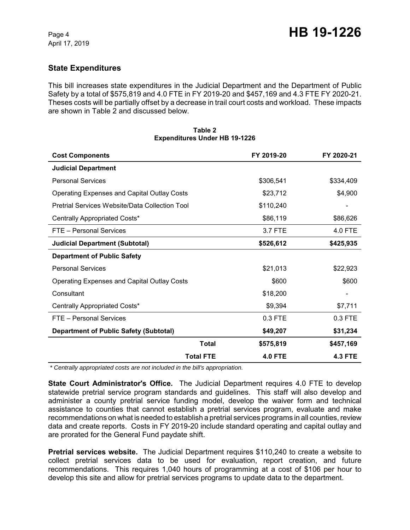# **State Expenditures**

This bill increases state expenditures in the Judicial Department and the Department of Public Safety by a total of \$575,819 and 4.0 FTE in FY 2019-20 and \$457,169 and 4.3 FTE FY 2020-21. Theses costs will be partially offset by a decrease in trail court costs and workload. These impacts are shown in Table 2 and discussed below.

| <b>Cost Components</b>                             |                  | FY 2019-20     | FY 2020-21     |
|----------------------------------------------------|------------------|----------------|----------------|
| <b>Judicial Department</b>                         |                  |                |                |
| <b>Personal Services</b>                           |                  | \$306,541      | \$334,409      |
| <b>Operating Expenses and Capital Outlay Costs</b> |                  | \$23,712       | \$4,900        |
| Pretrial Services Website/Data Collection Tool     |                  | \$110,240      |                |
| Centrally Appropriated Costs*                      |                  | \$86,119       | \$86,626       |
| FTE - Personal Services                            |                  | 3.7 FTE        | 4.0 FTE        |
| <b>Judicial Department (Subtotal)</b>              |                  | \$526,612      | \$425,935      |
| <b>Department of Public Safety</b>                 |                  |                |                |
| <b>Personal Services</b>                           |                  | \$21,013       | \$22,923       |
| <b>Operating Expenses and Capital Outlay Costs</b> |                  | \$600          | \$600          |
| Consultant                                         |                  | \$18,200       |                |
| Centrally Appropriated Costs*                      |                  | \$9,394        | \$7,711        |
| FTE - Personal Services                            |                  | 0.3 FTE        | 0.3 FTE        |
| <b>Department of Public Safety (Subtotal)</b>      |                  | \$49,207       | \$31,234       |
|                                                    | <b>Total</b>     | \$575,819      | \$457,169      |
|                                                    | <b>Total FTE</b> | <b>4.0 FTE</b> | <b>4.3 FTE</b> |

#### **Table 2 Expenditures Under HB 19-1226**

 *\* Centrally appropriated costs are not included in the bill's appropriation.*

**State Court Administrator's Office.** The Judicial Department requires 4.0 FTE to develop statewide pretrial service program standards and guidelines. This staff will also develop and administer a county pretrial service funding model, develop the waiver form and technical assistance to counties that cannot establish a pretrial services program, evaluate and make recommendations on what is needed to establish a pretrial services programs in all counties, review data and create reports. Costs in FY 2019-20 include standard operating and capital outlay and are prorated for the General Fund paydate shift.

**Pretrial services website.** The Judicial Department requires \$110,240 to create a website to collect pretrial services data to be used for evaluation, report creation, and future recommendations. This requires 1,040 hours of programming at a cost of \$106 per hour to develop this site and allow for pretrial services programs to update data to the department.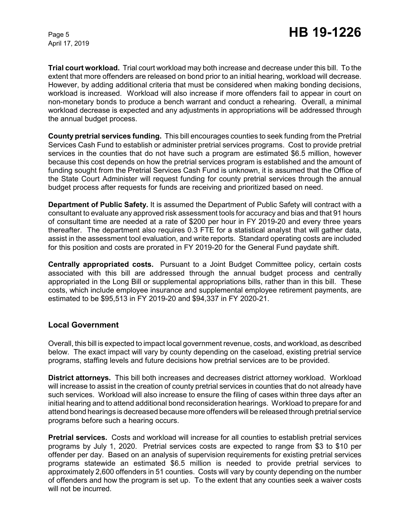**Trial court workload.** Trial court workload may both increase and decrease under this bill. To the extent that more offenders are released on bond prior to an initial hearing, workload will decrease. However, by adding additional criteria that must be considered when making bonding decisions, workload is increased. Workload will also increase if more offenders fail to appear in court on non-monetary bonds to produce a bench warrant and conduct a rehearing. Overall, a minimal workload decrease is expected and any adjustments in appropriations will be addressed through the annual budget process.

**County pretrial services funding.** This bill encourages counties to seek funding from the Pretrial Services Cash Fund to establish or administer pretrial services programs. Cost to provide pretrial services in the counties that do not have such a program are estimated \$6.5 million, however because this cost depends on how the pretrial services program is established and the amount of funding sought from the Pretrial Services Cash Fund is unknown, it is assumed that the Office of the State Court Administer will request funding for county pretrial services through the annual budget process after requests for funds are receiving and prioritized based on need.

**Department of Public Safety.** It is assumed the Department of Public Safety will contract with a consultant to evaluate any approved risk assessment tools for accuracy and bias and that 91 hours of consultant time are needed at a rate of \$200 per hour in FY 2019-20 and every three years thereafter. The department also requires 0.3 FTE for a statistical analyst that will gather data, assist in the assessment tool evaluation, and write reports. Standard operating costs are included for this position and costs are prorated in FY 2019-20 for the General Fund paydate shift.

**Centrally appropriated costs.** Pursuant to a Joint Budget Committee policy, certain costs associated with this bill are addressed through the annual budget process and centrally appropriated in the Long Bill or supplemental appropriations bills, rather than in this bill. These costs, which include employee insurance and supplemental employee retirement payments, are estimated to be \$95,513 in FY 2019-20 and \$94,337 in FY 2020-21.

### **Local Government**

Overall, this bill is expected to impact local government revenue, costs, and workload, as described below. The exact impact will vary by county depending on the caseload, existing pretrial service programs, staffing levels and future decisions how pretrial services are to be provided.

**District attorneys.** This bill both increases and decreases district attorney workload. Workload will increase to assist in the creation of county pretrial services in counties that do not already have such services. Workload will also increase to ensure the filing of cases within three days after an initial hearing and to attend additional bond reconsideration hearings. Workload to prepare for and attend bond hearings is decreased because more offenders will be released through pretrial service programs before such a hearing occurs.

**Pretrial services.** Costs and workload will increase for all counties to establish pretrial services programs by July 1, 2020. Pretrial services costs are expected to range from \$3 to \$10 per offender per day. Based on an analysis of supervision requirements for existing pretrial services programs statewide an estimated \$6.5 million is needed to provide pretrial services to approximately 2,600 offenders in 51 counties. Costs will vary by county depending on the number of offenders and how the program is set up. To the extent that any counties seek a waiver costs will not be incurred.